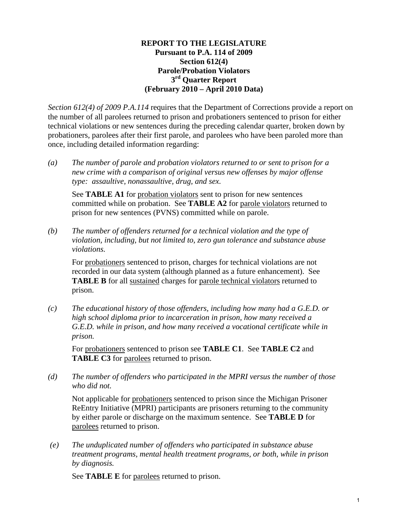#### **REPORT TO THE LEGISLATURE Pursuant to P.A. 114 of 2009 Section 612(4) Parole/Probation Violators 3rd Quarter Report (February 2010 – April 2010 Data)**

*Section 612(4) of 2009 P.A.114* requires that the Department of Corrections provide a report on the number of all parolees returned to prison and probationers sentenced to prison for either technical violations or new sentences during the preceding calendar quarter, broken down by probationers, parolees after their first parole, and parolees who have been paroled more than once, including detailed information regarding:

*(a) The number of parole and probation violators returned to or sent to prison for a new crime with a comparison of original versus new offenses by major offense type: assaultive, nonassaultive, drug, and sex.* 

See **TABLE A1** for probation violators sent to prison for new sentences committed while on probation. See **TABLE A2** for parole violators returned to prison for new sentences (PVNS) committed while on parole.

*(b) The number of offenders returned for a technical violation and the type of violation, including, but not limited to, zero gun tolerance and substance abuse violations.* 

For probationers sentenced to prison, charges for technical violations are not recorded in our data system (although planned as a future enhancement). See **TABLE B** for all sustained charges for parole technical violators returned to prison.

*(c) The educational history of those offenders, including how many had a G.E.D. or high school diploma prior to incarceration in prison, how many received a G.E.D. while in prison, and how many received a vocational certificate while in prison.* 

For probationers sentenced to prison see **TABLE C1**. See **TABLE C2** and **TABLE C3** for parolees returned to prison.

*(d) The number of offenders who participated in the MPRI versus the number of those who did not.* 

Not applicable for probationers sentenced to prison since the Michigan Prisoner ReEntry Initiative (MPRI) participants are prisoners returning to the community by either parole or discharge on the maximum sentence. See **TABLE D** for parolees returned to prison.

 *(e) The unduplicated number of offenders who participated in substance abuse treatment programs, mental health treatment programs, or both, while in prison by diagnosis.* 

See **TABLE E** for parolees returned to prison.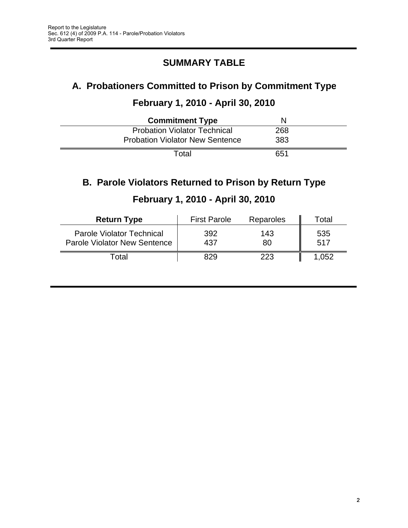## **SUMMARY TABLE**

# **A. Probationers Committed to Prison by Commitment Type**

## **February 1, 2010 - April 30, 2010**

| <b>Commitment Type</b>                 |     |  |
|----------------------------------------|-----|--|
| <b>Probation Violator Technical</b>    | 268 |  |
| <b>Probation Violator New Sentence</b> | 383 |  |
| Total                                  | 651 |  |

## **B. Parole Violators Returned to Prison by Return Type**

| <b>Return Type</b>                                                      | <b>First Parole</b> | Reparoles | $\tau$ otal |
|-------------------------------------------------------------------------|---------------------|-----------|-------------|
| <b>Parole Violator Technical</b><br><b>Parole Violator New Sentence</b> | 392<br>437          | 143<br>80 | 535<br>517  |
| <sup>-</sup> otal                                                       | 829                 | 223       | 052. ا      |

## **February 1, 2010 - April 30, 2010**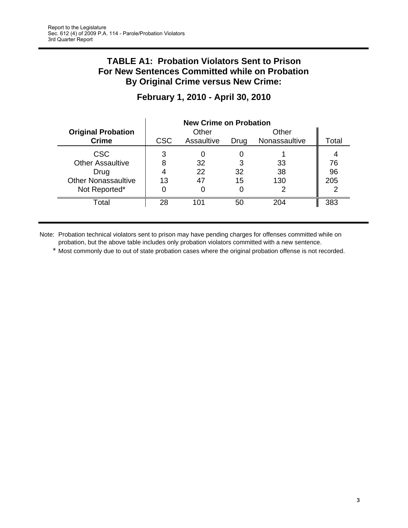#### **TABLE A1: Probation Violators Sent to Prison For New Sentences Committed while on Probation By Original Crime versus New Crime:**

|                            |            | <b>New Crime on Probation</b> |      |               |       |
|----------------------------|------------|-------------------------------|------|---------------|-------|
| <b>Original Probation</b>  |            | Other                         |      | Other         |       |
| <b>Crime</b>               | <b>CSC</b> | Assaultive                    | Drug | Nonassaultive | Total |
| <b>CSC</b>                 | 3          |                               |      |               |       |
| <b>Other Assaultive</b>    | 8          | 32                            | 3    | 33            | 76    |
| Drug                       |            | 22                            | 32   | 38            | 96    |
| <b>Other Nonassaultive</b> | 13         | 47                            | 15   | 130           | 205   |
| Not Reported*              |            | O                             |      | 2             |       |
| Total                      | 28         | 101                           | 50   | 204           | 383   |

## **February 1, 2010 - April 30, 2010**

Note: Probation technical violators sent to prison may have pending charges for offenses committed while on probation, but the above table includes only probation violators committed with a new sentence.

\* Most commonly due to out of state probation cases where the original probation offense is not recorded.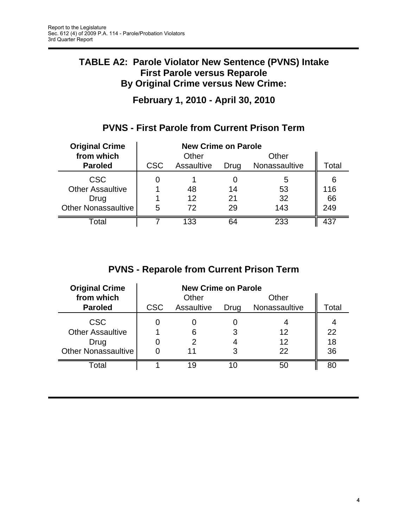## **TABLE A2: Parole Violator New Sentence (PVNS) Intake First Parole versus Reparole By Original Crime versus New Crime:**

**February 1, 2010 - April 30, 2010**

## **PVNS - First Parole from Current Prison Term**

| <b>Original Crime</b>      | <b>New Crime on Parole</b> |            |      |               |       |
|----------------------------|----------------------------|------------|------|---------------|-------|
| from which                 |                            | Other      |      | Other         |       |
| <b>Paroled</b>             | <b>CSC</b>                 | Assaultive | Drug | Nonassaultive | Total |
| <b>CSC</b>                 |                            |            |      | 5             |       |
| <b>Other Assaultive</b>    |                            | 48         | 14   | 53            | 116   |
| Drug                       |                            | 12         | 21   | 32            | 66    |
| <b>Other Nonassaultive</b> | 5                          | 72         | 29   | 143           | 249   |
| Total                      |                            | 133        | 64   | 233           |       |

## **PVNS - Reparole from Current Prison Term**

| <b>Original Crime</b>      | <b>New Crime on Parole</b> |            |      |               |       |
|----------------------------|----------------------------|------------|------|---------------|-------|
| from which                 |                            | Other      |      | Other         |       |
| <b>Paroled</b>             | <b>CSC</b>                 | Assaultive | Drug | Nonassaultive | Total |
| <b>CSC</b>                 |                            |            |      |               |       |
| <b>Other Assaultive</b>    |                            | 6          |      | 12            | 22    |
| Drug                       |                            | 2          |      | 12            | 18    |
| <b>Other Nonassaultive</b> |                            | 11         |      | 22            | 36    |
| Total                      |                            | 19         |      | 50            | 80    |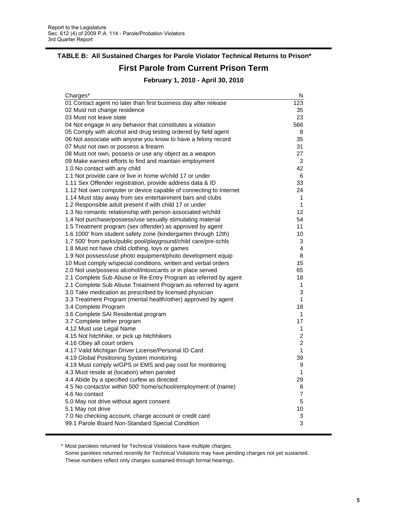#### **TABLE B: All Sustained Charges for Parole Violator Technical Returns to Prison\***

#### **First Parole from Current Prison Term**

**February 1, 2010 - April 30, 2010**

| Charges*                                                          | N              |
|-------------------------------------------------------------------|----------------|
| 01 Contact agent no later than first business day after release   | 123            |
| 02 Must not change residence                                      | 35             |
| 03 Must not leave state                                           | 23             |
| 04 Not engage in any behavior that constitutes a violation        | 566            |
| 05 Comply with alcohol and drug testing ordered by field agent    | 8              |
| 06 Not associate with anyone you know to have a felony record     | 35             |
| 07 Must not own or possess a firearm                              | 31             |
| 08 Must not own, possess or use any object as a weapon            | 27             |
| 09 Make earnest efforts to find and maintain employment           | 2              |
| 1.0 No contact with any child                                     | 42             |
| 1.1 Not provide care or live in home w/child 17 or under          | 6              |
| 1.11 Sex Offender registration, provide address data & ID         | 33             |
| 1.12 Not own computer or device capable of connecting to Internet | 24             |
| 1.14 Must stay away from sex entertainment bars and clubs         | 1              |
| 1.2 Responsible adult present if with child 17 or under           | 1              |
| 1.3 No romantic relationship with person associated w/child       | 12             |
| 1.4 Not purchase/possess/use sexually stimulating material        | 54             |
| 1.5 Treatment program (sex offender) as approved by agent         | 11             |
| 1.6 1000' from student safety zone (kindergarten through 12th)    | 10             |
| 1.7 500' from parks/public pool/playground/child care/pre-schls   | 3              |
| 1.8 Must not have child clothing, toys or games                   | 4              |
| 1.9 Not possess/use photo equipment/photo development equip       | 8              |
| 10 Must comply w/special conditions, written and verbal orders    | 15             |
| 2.0 Not use/possess alcohol/intoxicants or in place served        | 65             |
| 2.1 Complete Sub Abuse or Re-Entry Program as referred by agent   | 18             |
| 2.1 Complete Sub Abuse Treatment Program as referred by agent     | 1              |
| 3.0 Take medication as prescribed by licensed physician           | 3              |
| 3.3 Treatment Program (mental health/other) approved by agent     | 1              |
| 3.4 Complete Program                                              | 18             |
| 3.6 Complete SAI Residential program                              | 1              |
| 3.7 Complete tether program                                       | 17             |
| 4.12 Must use Legal Name                                          | 1              |
| 4.15 Not hitchhike, or pick up hitchhikers                        | 2              |
| 4.16 Obey all court orders                                        | $\overline{2}$ |
| 4.17 Valid Michigan Driver License/Personal ID Card               | 1              |
| 4.19 Global Positioning System monitoring                         | 39             |
| 4.19 Must comply w/GPS or EMS and pay cost for monitoring         | 9              |
| 4.3 Must reside at (location) when paroled                        | 1              |
| 4.4 Abide by a specified curfew as directed                       | 29             |
| 4.5 No contact/or within 500' home/school/employment of (name)    | 8              |
| 4.6 No contact                                                    | $\overline{7}$ |
| 5.0 May not drive without agent consent                           | 5              |
| 5.1 May not drive                                                 | 10             |
| 7.0 No checking account, charge account or credit card            | 3              |
| 99.1 Parole Board Non-Standard Special Condition                  | 3              |

\* Most parolees returned for Technical Violations have multiple charges.

Some parolees returned recently for Technical Violations may have pending charges not yet sustained. These numbers reflect only charges sustained through formal hearings.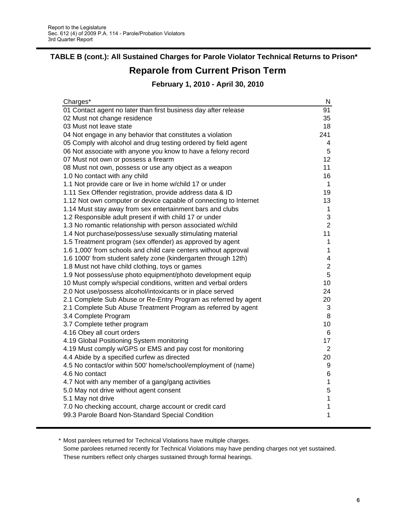# **TABLE B (cont.): All Sustained Charges for Parole Violator Technical Returns to Prison\***

# **Reparole from Current Prison Term**

**February 1, 2010 - April 30, 2010**

| Charges*                                                          | N                        |
|-------------------------------------------------------------------|--------------------------|
| 01 Contact agent no later than first business day after release   | 91                       |
| 02 Must not change residence                                      | 35                       |
| 03 Must not leave state                                           | 18                       |
| 04 Not engage in any behavior that constitutes a violation        | 241                      |
| 05 Comply with alcohol and drug testing ordered by field agent    | 4                        |
| 06 Not associate with anyone you know to have a felony record     | 5                        |
| 07 Must not own or possess a firearm                              | 12                       |
| 08 Must not own, possess or use any object as a weapon            | 11                       |
| 1.0 No contact with any child                                     | 16                       |
| 1.1 Not provide care or live in home w/child 17 or under          | 1                        |
| 1.11 Sex Offender registration, provide address data & ID         | 19                       |
| 1.12 Not own computer or device capable of connecting to Internet | 13                       |
| 1.14 Must stay away from sex entertainment bars and clubs         | 1                        |
| 1.2 Responsible adult present if with child 17 or under           | 3                        |
| 1.3 No romantic relationship with person associated w/child       | $\overline{2}$           |
| 1.4 Not purchase/possess/use sexually stimulating material        | 11                       |
| 1.5 Treatment program (sex offender) as approved by agent         | 1                        |
| 1.6 1,000' from schools and child care centers without approval   | 1                        |
| 1.6 1000' from student safety zone (kindergarten through 12th)    | $\overline{\mathcal{A}}$ |
| 1.8 Must not have child clothing, toys or games                   | $\overline{c}$           |
| 1.9 Not possess/use photo equipment/photo development equip       | 5                        |
| 10 Must comply w/special conditions, written and verbal orders    | 10                       |
| 2.0 Not use/possess alcohol/intoxicants or in place served        | 24                       |
| 2.1 Complete Sub Abuse or Re-Entry Program as referred by agent   | 20                       |
| 2.1 Complete Sub Abuse Treatment Program as referred by agent     | 3                        |
| 3.4 Complete Program                                              | 8                        |
| 3.7 Complete tether program                                       | 10                       |
| 4.16 Obey all court orders                                        | 6                        |
| 4.19 Global Positioning System monitoring                         | 17                       |
| 4.19 Must comply w/GPS or EMS and pay cost for monitoring         | $\overline{2}$           |
| 4.4 Abide by a specified curfew as directed                       | 20                       |
| 4.5 No contact/or within 500' home/school/employment of (name)    | 9                        |
| 4.6 No contact                                                    | 6                        |
| 4.7 Not with any member of a gang/gang activities                 | 1                        |
| 5.0 May not drive without agent consent                           | 5                        |
| 5.1 May not drive                                                 | $\mathbf 1$              |
| 7.0 No checking account, charge account or credit card            | 1                        |
| 99.3 Parole Board Non-Standard Special Condition                  | 1                        |
|                                                                   |                          |

\* Most parolees returned for Technical Violations have multiple charges.

Some parolees returned recently for Technical Violations may have pending charges not yet sustained. These numbers reflect only charges sustained through formal hearings.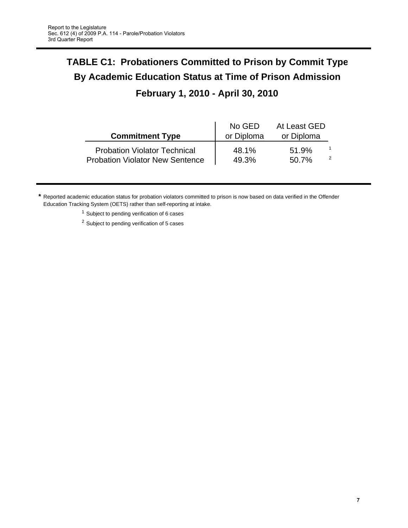# **TABLE C1: Probationers Committed to Prison by Commit Type By Academic Education Status at Time of Prison Admission**

## **February 1, 2010 - April 30, 2010**

| <b>Commitment Type</b>                 | No GED<br>or Diploma | At Least GED<br>or Diploma |  |
|----------------------------------------|----------------------|----------------------------|--|
| <b>Probation Violator Technical</b>    | 48.1%                | 51.9%                      |  |
| <b>Probation Violator New Sentence</b> | 49.3%                | 50.7%                      |  |

**\*** Reported academic education status for probation violators committed to prison is now based on data verified in the Offender Education Tracking System (OETS) rather than self-reporting at intake.

<sup>1</sup> Subject to pending verification of 6 cases

<sup>2</sup> Subject to pending verification of 5 cases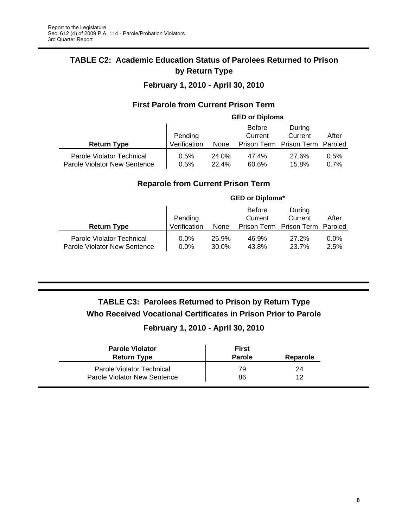#### **TABLE C2: Academic Education Status of Parolees Returned to Prison by Return Type**

#### **February 1, 2010 - April 30, 2010**

#### **First Parole from Current Prison Term**

|                                                           |              |                | <b>GED or Diploma</b>    |                                 |              |
|-----------------------------------------------------------|--------------|----------------|--------------------------|---------------------------------|--------------|
|                                                           | Pending      |                | <b>Before</b><br>Current | During<br>Current               | After        |
| <b>Return Type</b>                                        | Verification | None           |                          | Prison Term Prison Term Paroled |              |
| Parole Violator Technical<br>Parole Violator New Sentence | 0.5%<br>0.5% | 24.0%<br>22.4% | 47.4%<br>60.6%           | 27.6%<br>15.8%                  | 0.5%<br>0.7% |

#### **Reparole from Current Prison Term**

|                                                           | <b>GED or Diploma*</b> |                |                          |                         |                 |
|-----------------------------------------------------------|------------------------|----------------|--------------------------|-------------------------|-----------------|
|                                                           | Pending                |                | <b>Before</b><br>Current | During<br>Current       | After           |
| <b>Return Type</b>                                        | Verification           | None           |                          | Prison Term Prison Term | Paroled         |
| Parole Violator Technical<br>Parole Violator New Sentence | $0.0\%$<br>$0.0\%$     | 25.9%<br>30.0% | 46.9%<br>43.8%           | 27.2%<br>23.7%          | $0.0\%$<br>2.5% |

### **TABLE C3: Parolees Returned to Prison by Return Type Who Received Vocational Certificates in Prison Prior to Parole**

#### **February 1, 2010 - April 30, 2010**

| <b>Parole Violator</b><br><b>Return Type</b> | First<br><b>Parole</b> | Reparole |
|----------------------------------------------|------------------------|----------|
| Parole Violator Technical                    | 79                     | 24       |
| Parole Violator New Sentence                 | 86                     | 12       |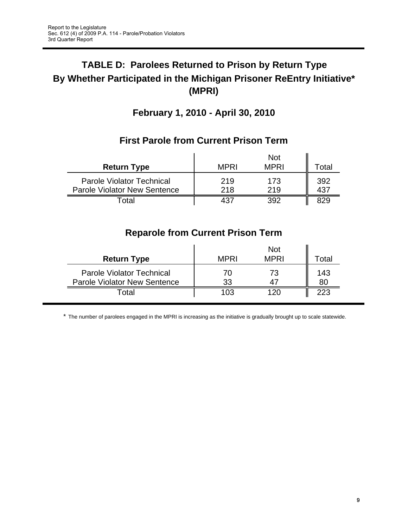# **TABLE D: Parolees Returned to Prison by Return Type By Whether Participated in the Michigan Prisoner ReEntry Initiative\* (MPRI)**

## **February 1, 2010 - April 30, 2010**

|                                                                         |             | <b>Not</b>  |       |
|-------------------------------------------------------------------------|-------------|-------------|-------|
| <b>Return Type</b>                                                      | <b>MPRI</b> | <b>MPRI</b> | ⊺otal |
| <b>Parole Violator Technical</b><br><b>Parole Violator New Sentence</b> | 219<br>218  | 173<br>219  | 392   |
| ็ดtal                                                                   | 437         |             |       |

## **First Parole from Current Prison Term**

## **Reparole from Current Prison Term**

| <b>Return Type</b>                                                      | <b>MPRI</b> | <b>Not</b><br><b>MPRI</b> | otal      |
|-------------------------------------------------------------------------|-------------|---------------------------|-----------|
| <b>Parole Violator Technical</b><br><b>Parole Violator New Sentence</b> | 70<br>33    | 73                        | 143<br>80 |
| ⊺otal                                                                   | 103         | 12C                       | 223       |

\* The number of parolees engaged in the MPRI is increasing as the initiative is gradually brought up to scale statewide.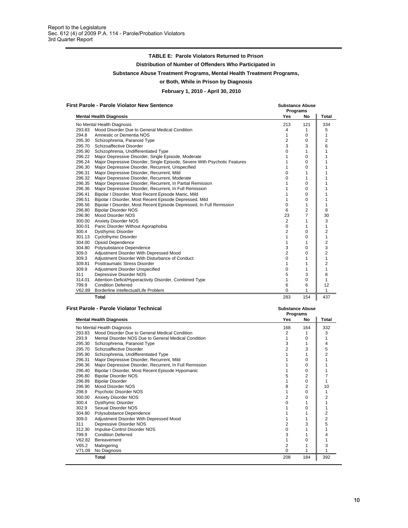|                  | <b>TABLE E: Parole Violators Returned to Prison</b>                                                        |                                |                                    |                     |
|------------------|------------------------------------------------------------------------------------------------------------|--------------------------------|------------------------------------|---------------------|
|                  | Distribution of Number of Offenders Who Participated in                                                    |                                |                                    |                     |
|                  | Substance Abuse Treatment Programs, Mental Health Treatment Programs,                                      |                                |                                    |                     |
|                  | or Both, While in Prison by Diagnosis                                                                      |                                |                                    |                     |
|                  | February 1, 2010 - April 30, 2010                                                                          |                                |                                    |                     |
|                  | <b>First Parole - Parole Violator New Sentence</b>                                                         |                                | <b>Substance Abuse</b><br>Programs |                     |
|                  | <b>Mental Health Diagnosis</b>                                                                             | Yes                            | No                                 | Total               |
|                  | No Mental Health Diagnosis                                                                                 | 213                            | 121                                | 334                 |
|                  | 293.83 Mood Disorder Due to General Medical Condition                                                      | 4                              | $\mathbf{1}$                       | 5                   |
| 294.8            | Amnestic or Dementia NOS<br>295.30 Schizophrenia, Paranoid Type                                            | $\mathbf{1}$<br>$\overline{2}$ | 0<br>0                             | 1<br>2              |
|                  | 295.70 Schizoaffective Disorder                                                                            | 3                              | 3                                  | 6                   |
|                  | 295.90 Schizophrenia, Undifferentiated Type                                                                | 0                              | 1                                  | 1                   |
|                  | 296.22 Major Depressive Disorder, Single Episode, Moderate                                                 | 1                              | 0                                  | 1                   |
|                  | 296.24 Major Depressive Disorder, Single Episode, Severe With Psychotic Features                           | 1                              | 0                                  | 1                   |
|                  | 296.30 Major Depressive Disorder, Recurrent, Unspecified                                                   | 1                              | $\Omega$                           | 1                   |
|                  | 296.31 Major Depressive Disorder, Recurrent, Mild<br>296.32 Major Depressive Disorder, Recurrent, Moderate | 0<br>$\Omega$                  | 1<br>$\mathbf{1}$                  | 1<br>1              |
|                  | 296.35 Major Depressive Disorder, Recurrent, In Partial Remission                                          | 1                              | $\Omega$                           | 1                   |
|                  | 296.36 Major Depressive Disorder, Recurrent, In Full Remission                                             | 1                              | 0                                  | 1                   |
| 296.41           | Bipolar I Disorder, Most Recent Episode Manic, Mild                                                        | 1                              | 0                                  | 1                   |
|                  | 296.51 Bipolar I Disorder, Most Recent Episode Depressed, Mild                                             | 1                              | 0                                  | 1                   |
|                  | 296.56 Bipolar I Disorder, Most Recent Episode Depressed, In Full Remission<br>296.80 Bipolar Disorder NOS | $\mathbf 0$<br>6               | $\mathbf{1}$<br>$\overline{2}$     | 1<br>8              |
|                  | 296.90 Mood Disorder NOS                                                                                   | 23                             | $\overline{7}$                     | 30                  |
|                  | 300.00 Anxiety Disorder NOS                                                                                | 2                              | 1                                  | 3                   |
|                  | 300.01 Panic Disorder Without Agoraphobia                                                                  | $\mathbf 0$                    | 1                                  | 1                   |
| 300.4            | Dysthymic Disorder                                                                                         | $\overline{2}$                 | 0                                  | 2                   |
|                  | 301.13 Cyclothymic Disorder<br>304.00 Opioid Dependence                                                    | $\mathbf{1}$<br>1              | 0<br>1                             | 1<br>2              |
|                  | 304.80 Polysubstance Dependence                                                                            | 3                              | 0                                  | 3                   |
| 309.0            | Adjustment Disorder With Depressed Mood                                                                    | $\overline{2}$                 | $\Omega$                           | $\overline{2}$      |
| 309.3            | Adjustment Disorder With Disturbance of Conduct                                                            | $\Omega$                       | 1                                  | 1                   |
| 309.81           | <b>Posttraumatic Stress Disorder</b>                                                                       | $\mathbf{1}$                   | 1                                  | $\overline{2}$      |
| 309.9<br>311     | Adjustment Disorder Unspecified<br>Depressive Disorder NOS                                                 | $\mathbf 0$<br>5               | 1<br>3                             | 1<br>8              |
| 314.01           | Attention-Deficit/Hyperactivity Disorder, Combined Type                                                    | $\mathbf{1}$                   | 0                                  | $\mathbf{1}$        |
| 799.9            | <b>Condition Deferred</b>                                                                                  | 6                              | 6                                  | 12                  |
|                  | V62.89 Borderline Intellectual/Life Problem                                                                | 0                              | 1                                  | $\mathbf{1}$        |
|                  | Total                                                                                                      | 283                            | 154                                | 437                 |
|                  | <b>First Parole - Parole Violator Technical</b>                                                            |                                | <b>Substance Abuse</b>             |                     |
|                  | <b>Mental Health Diagnosis</b>                                                                             | Yes                            | Programs<br>No                     | Total               |
|                  | No Mental Health Diagnosis                                                                                 | 168                            | 164                                | 332                 |
| 293.83           | Mood Disorder Due to General Medical Condition                                                             | $\overline{\mathbf{c}}$        | $\mathbf{1}$                       | 3                   |
| 293.9            | Mental Disorder NOS Due to General Medical Condition                                                       | $\mathbf{1}$                   | 0                                  | 1                   |
| 295.30           | Schizophrenia, Paranoid Type                                                                               | 3                              | 1                                  | 4                   |
|                  | 295.70 Schizoaffective Disorder<br>295.90 Schizophrenia, Undifferentiated Type                             | $\overline{2}$<br>1            | 3<br>1                             | 5<br>2              |
| 296.31           | Major Depressive Disorder, Recurrent, Mild                                                                 | 1                              | 0                                  | 1                   |
| 296.36           | Major Depressive Disorder, Recurrent, In Full Remission                                                    | 1                              | 0                                  | 1                   |
| 296.40           | Bipolar I Disorder, Most Recent Episode Hypomanic                                                          | 1                              | 0                                  | 1                   |
| 296.80           | <b>Bipolar Disorder NOS</b>                                                                                | 5                              | 2                                  | $\overline{7}$      |
| 296.89<br>296.90 | <b>Bipolar Disorder</b><br>Mood Disorder NOS                                                               | 1<br>8                         | 0<br>2                             | 1<br>10             |
| 298.9            | Psychotic Disorder NOS                                                                                     | $\mathbf{1}$                   | 0                                  | $\mathbf{1}$        |
| 300.00           | <b>Anxiety Disorder NOS</b>                                                                                | 2                              | 0                                  | $\overline{c}$      |
| 300.4            | Dysthymic Disorder                                                                                         | 0                              | 1                                  | 1                   |
| 302.9            | Sexual Disorder NOS                                                                                        | 1                              | 0                                  | 1                   |
| 304.80<br>309.0  | Polysubstance Dependence<br>Adjustment Disorder With Depressed Mood                                        | 1<br>1                         | 1<br>1                             | $\overline{c}$<br>2 |
| 311              | Depressive Disorder NOS                                                                                    | 2                              | 3                                  | 5                   |
| 312.30           | Impulse-Control Disorder NOS                                                                               | 0                              | 1                                  | 1                   |
| 799.9            | <b>Condition Deferred</b>                                                                                  | 3                              | 1                                  | 4                   |
|                  | V62.82 Bereavement                                                                                         | $\mathbf{1}$                   | 0                                  | 1                   |
| V65.2            | Malingering<br>V71.09 No Diagnosis                                                                         | 2<br>0                         | 1<br>1                             | 3<br>1              |
|                  | Total                                                                                                      | 208                            | 184                                | 392                 |
|                  |                                                                                                            |                                |                                    |                     |
|                  |                                                                                                            |                                |                                    |                     |

| First Parole - Parole Violator Technical |                                                         |            | <b>Substance Abuse</b><br>Programs |                |  |
|------------------------------------------|---------------------------------------------------------|------------|------------------------------------|----------------|--|
|                                          | <b>Mental Health Diagnosis</b>                          | Yes<br>No  |                                    | Total          |  |
|                                          | No Mental Health Diagnosis                              | 168<br>164 |                                    | 332            |  |
| 293.83                                   | Mood Disorder Due to General Medical Condition          | 2          |                                    | 3              |  |
| 293.9                                    | Mental Disorder NOS Due to General Medical Condition    |            | 0                                  |                |  |
| 295.30                                   | Schizophrenia, Paranoid Type                            | 3          |                                    | 4              |  |
| 295.70                                   | Schizoaffective Disorder                                | 2          | 3                                  | 5              |  |
| 295.90                                   | Schizophrenia, Undifferentiated Type                    |            |                                    |                |  |
| 296.31                                   | Major Depressive Disorder, Recurrent, Mild              |            | 0                                  |                |  |
| 296.36                                   | Major Depressive Disorder, Recurrent, In Full Remission |            | 0                                  |                |  |
| 296.40                                   | Bipolar I Disorder, Most Recent Episode Hypomanic       |            | $\Omega$                           |                |  |
| 296.80                                   | <b>Bipolar Disorder NOS</b>                             |            | 2                                  |                |  |
| 296.89                                   | <b>Bipolar Disorder</b>                                 |            | 0                                  |                |  |
| 296.90                                   | Mood Disorder NOS                                       | 8          | 2                                  | 10             |  |
| 298.9                                    | <b>Psychotic Disorder NOS</b>                           |            | 0                                  |                |  |
| 300.00                                   | <b>Anxiety Disorder NOS</b>                             | 2          | 0                                  | 2              |  |
| 300.4                                    | <b>Dysthymic Disorder</b>                               |            |                                    |                |  |
| 302.9                                    | Sexual Disorder NOS                                     |            | 0                                  |                |  |
| 304.80                                   | Polysubstance Dependence                                |            |                                    | 2              |  |
| 309.0                                    | Adjustment Disorder With Depressed Mood                 |            |                                    | $\overline{2}$ |  |
| 311                                      | Depressive Disorder NOS                                 | 2          | 3                                  | 5              |  |
| 312.30                                   | Impulse-Control Disorder NOS                            | 0          |                                    |                |  |
| 799.9                                    | <b>Condition Deferred</b>                               |            |                                    |                |  |
| V62.82                                   | Bereavement                                             |            | ი                                  |                |  |
| V65.2                                    | Malingering                                             | 2          |                                    | 3              |  |
| V71.09                                   | No Diagnosis                                            | o          |                                    |                |  |
|                                          | Total                                                   | 208        | 184                                | 392            |  |
|                                          |                                                         |            |                                    |                |  |